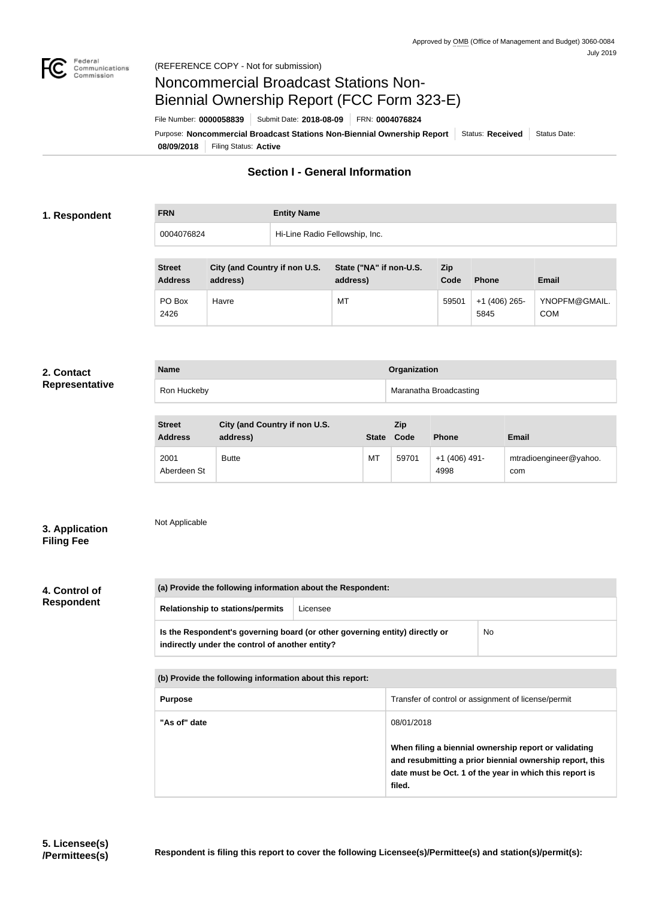

#### (REFERENCE COPY - Not for submission)

# Noncommercial Broadcast Stations Non-Biennial Ownership Report (FCC Form 323-E)

File Number: **0000058839** Submit Date: **2018-08-09** FRN: **0004076824**

**08/09/2018** Filing Status: **Active** Purpose: Noncommercial Broadcast Stations Non-Biennial Ownership Report Status: Received Status Date:

## **Section I - General Information**

## **1. Respondent**

**FRN Entity Name** 0004076824 Hi-Line Radio Fellowship, Inc.

| <b>Street</b><br><b>Address</b> | City (and Country if non U.S.<br>address) | State ("NA" if non-U.S.<br>address) | <b>Zip</b><br>Code | <b>Phone</b>          | <b>Email</b>                |
|---------------------------------|-------------------------------------------|-------------------------------------|--------------------|-----------------------|-----------------------------|
| PO Box<br>2426                  | Havre                                     | MT                                  | 59501              | +1 (406) 265-<br>5845 | YNOPFM@GMAIL.<br><b>COM</b> |

### **2. Contact Representative**

| <b>Name</b> | Organization           |
|-------------|------------------------|
| Ron Huckeby | Maranatha Broadcasting |
|             |                        |

| <b>Street</b><br><b>Address</b> | City (and Country if non U.S.<br>address) | <b>State</b> | <b>Zip</b><br>Code | <b>Phone</b>           | Email                         |
|---------------------------------|-------------------------------------------|--------------|--------------------|------------------------|-------------------------------|
| 2001<br>Aberdeen St             | <b>Butte</b>                              | МT           | 59701              | $+1(406)$ 491-<br>4998 | mtradioengineer@yahoo.<br>com |

## Not Applicable

**3. Application Filing Fee**

### **4. Control of Respondent**

| <b>Relationship to stations/permits</b>                                                                                        | Licensee |  |  |
|--------------------------------------------------------------------------------------------------------------------------------|----------|--|--|
| Is the Respondent's governing board (or other governing entity) directly or<br>indirectly under the control of another entity? | No       |  |  |

| (b) Provide the following information about this report: |                                                                                                                                                                                        |  |
|----------------------------------------------------------|----------------------------------------------------------------------------------------------------------------------------------------------------------------------------------------|--|
| <b>Purpose</b>                                           | Transfer of control or assignment of license/permit                                                                                                                                    |  |
| "As of" date                                             | 08/01/2018                                                                                                                                                                             |  |
|                                                          | When filing a biennial ownership report or validating<br>and resubmitting a prior biennial ownership report, this<br>date must be Oct. 1 of the year in which this report is<br>filed. |  |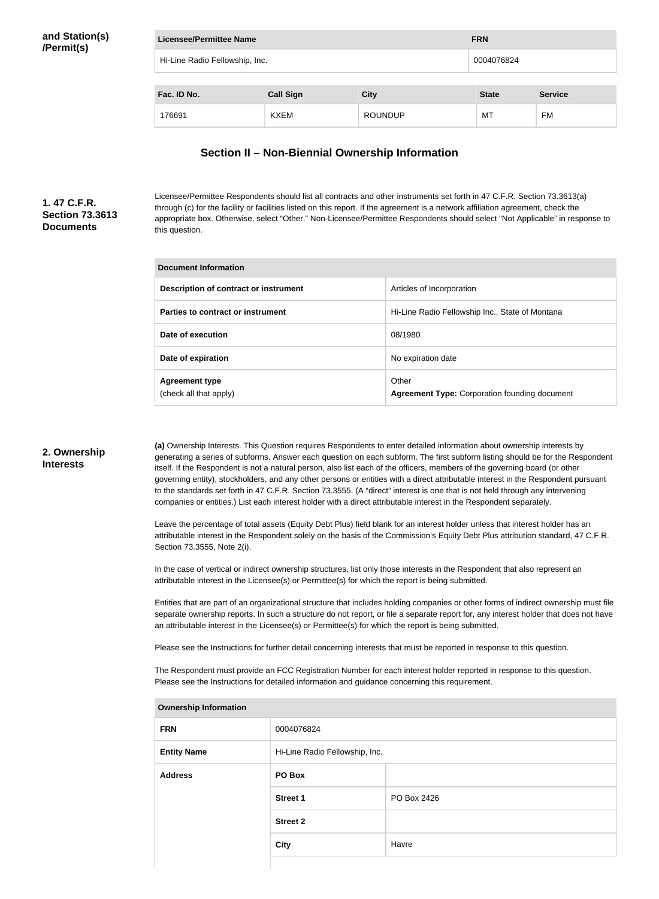| and Station(s) |
|----------------|
| /Permit(s)     |

| <b>Licensee/Permittee Name</b>               | <b>FRN</b>       |                |              |                |
|----------------------------------------------|------------------|----------------|--------------|----------------|
| Hi-Line Radio Fellowship, Inc.<br>0004076824 |                  |                |              |                |
| Fac. ID No.                                  | <b>Call Sign</b> | <b>City</b>    | <b>State</b> | <b>Service</b> |
| 176691                                       | <b>KXEM</b>      | <b>ROUNDUP</b> | МT           | FM             |

## **Section II – Non-Biennial Ownership Information**

## **1. 47 C.F.R. Section 73.3613 Documents**

Licensee/Permittee Respondents should list all contracts and other instruments set forth in 47 C.F.R. Section 73.3613(a) through (c) for the facility or facilities listed on this report. If the agreement is a network affiliation agreement, check the appropriate box. Otherwise, select "Other." Non-Licensee/Permittee Respondents should select "Not Applicable" in response to this question.

| Document Information                            |                                                               |  |  |
|-------------------------------------------------|---------------------------------------------------------------|--|--|
| Description of contract or instrument           | Articles of Incorporation                                     |  |  |
| Parties to contract or instrument               | Hi-Line Radio Fellowship Inc., State of Montana               |  |  |
| Date of execution                               | 08/1980                                                       |  |  |
| Date of expiration                              | No expiration date                                            |  |  |
| <b>Agreement type</b><br>(check all that apply) | Other<br><b>Agreement Type: Corporation founding document</b> |  |  |

## **2. Ownership Interests**

**(a)** Ownership Interests. This Question requires Respondents to enter detailed information about ownership interests by generating a series of subforms. Answer each question on each subform. The first subform listing should be for the Respondent itself. If the Respondent is not a natural person, also list each of the officers, members of the governing board (or other governing entity), stockholders, and any other persons or entities with a direct attributable interest in the Respondent pursuant to the standards set forth in 47 C.F.R. Section 73.3555. (A "direct" interest is one that is not held through any intervening companies or entities.) List each interest holder with a direct attributable interest in the Respondent separately.

Leave the percentage of total assets (Equity Debt Plus) field blank for an interest holder unless that interest holder has an attributable interest in the Respondent solely on the basis of the Commission's Equity Debt Plus attribution standard, 47 C.F.R. Section 73.3555, Note 2(i).

In the case of vertical or indirect ownership structures, list only those interests in the Respondent that also represent an attributable interest in the Licensee(s) or Permittee(s) for which the report is being submitted.

Entities that are part of an organizational structure that includes holding companies or other forms of indirect ownership must file separate ownership reports. In such a structure do not report, or file a separate report for, any interest holder that does not have an attributable interest in the Licensee(s) or Permittee(s) for which the report is being submitted.

Please see the Instructions for further detail concerning interests that must be reported in response to this question.

The Respondent must provide an FCC Registration Number for each interest holder reported in response to this question. Please see the Instructions for detailed information and guidance concerning this requirement.

| <b>Jwnership Information</b> |                                |             |
|------------------------------|--------------------------------|-------------|
| <b>FRN</b>                   | 0004076824                     |             |
| <b>Entity Name</b>           | Hi-Line Radio Fellowship, Inc. |             |
| <b>Address</b>               | PO Box                         |             |
|                              | <b>Street 1</b>                | PO Box 2426 |
|                              | <b>Street 2</b>                |             |
|                              | <b>City</b>                    | Havre       |
|                              |                                |             |

**Ownership Information**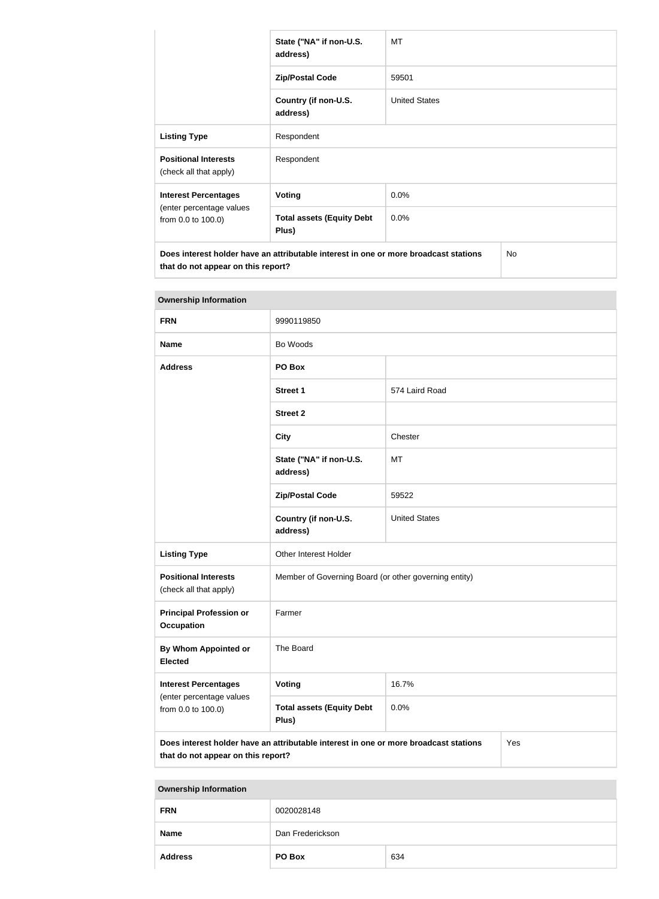|                                                       | State ("NA" if non-U.S.<br>address)                                                  | МT                   |           |
|-------------------------------------------------------|--------------------------------------------------------------------------------------|----------------------|-----------|
|                                                       | <b>Zip/Postal Code</b>                                                               | 59501                |           |
|                                                       | Country (if non-U.S.<br>address)                                                     | <b>United States</b> |           |
| <b>Listing Type</b>                                   | Respondent                                                                           |                      |           |
| <b>Positional Interests</b><br>(check all that apply) | Respondent                                                                           |                      |           |
| <b>Interest Percentages</b>                           | <b>Voting</b>                                                                        | 0.0%                 |           |
| (enter percentage values<br>from 0.0 to 100.0)        | <b>Total assets (Equity Debt</b><br>Plus)                                            | 0.0%                 |           |
| that do not appear on this report?                    | Does interest holder have an attributable interest in one or more broadcast stations |                      | <b>No</b> |

| <b>Ownership Information</b>                          |                                                                                      |                      |     |  |
|-------------------------------------------------------|--------------------------------------------------------------------------------------|----------------------|-----|--|
| <b>FRN</b>                                            | 9990119850                                                                           |                      |     |  |
| <b>Name</b>                                           | Bo Woods                                                                             |                      |     |  |
| <b>Address</b>                                        | PO Box                                                                               |                      |     |  |
|                                                       | <b>Street 1</b>                                                                      | 574 Laird Road       |     |  |
|                                                       | <b>Street 2</b>                                                                      |                      |     |  |
|                                                       | <b>City</b>                                                                          | Chester              |     |  |
|                                                       | State ("NA" if non-U.S.<br>address)                                                  | MT                   |     |  |
|                                                       | <b>Zip/Postal Code</b>                                                               | 59522                |     |  |
|                                                       | Country (if non-U.S.<br>address)                                                     | <b>United States</b> |     |  |
| <b>Listing Type</b>                                   | Other Interest Holder                                                                |                      |     |  |
| <b>Positional Interests</b><br>(check all that apply) | Member of Governing Board (or other governing entity)                                |                      |     |  |
| <b>Principal Profession or</b><br><b>Occupation</b>   | Farmer                                                                               |                      |     |  |
| <b>By Whom Appointed or</b><br><b>Elected</b>         | The Board                                                                            |                      |     |  |
| <b>Interest Percentages</b>                           | Voting                                                                               | 16.7%                |     |  |
| (enter percentage values<br>from 0.0 to 100.0)        | <b>Total assets (Equity Debt</b><br>Plus)                                            | 0.0%                 |     |  |
| that do not appear on this report?                    | Does interest holder have an attributable interest in one or more broadcast stations |                      | Yes |  |

## **Ownership Information**

| <b>Ownership Information</b> |                  |  |
|------------------------------|------------------|--|
| <b>FRN</b>                   | 0020028148       |  |
| <b>Name</b>                  | Dan Frederickson |  |
| <b>Address</b>               | PO Box<br>634    |  |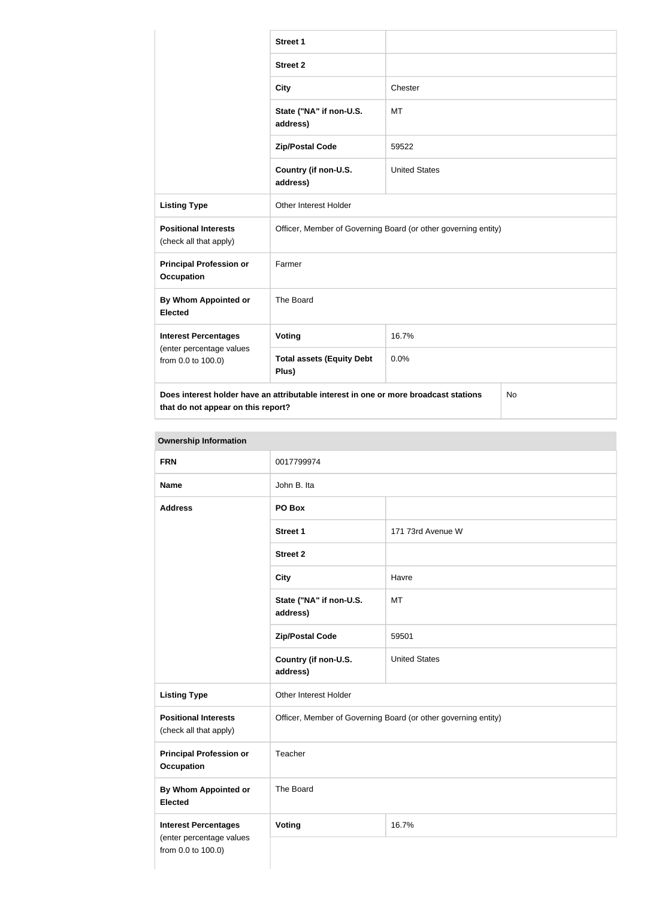|                                                                                                                                         | <b>Street 1</b>                                                |                      |  |
|-----------------------------------------------------------------------------------------------------------------------------------------|----------------------------------------------------------------|----------------------|--|
|                                                                                                                                         | <b>Street 2</b>                                                |                      |  |
|                                                                                                                                         | <b>City</b>                                                    | Chester              |  |
|                                                                                                                                         | State ("NA" if non-U.S.<br>address)                            | MT                   |  |
|                                                                                                                                         | <b>Zip/Postal Code</b>                                         | 59522                |  |
|                                                                                                                                         | Country (if non-U.S.<br>address)                               | <b>United States</b> |  |
| <b>Listing Type</b>                                                                                                                     | <b>Other Interest Holder</b>                                   |                      |  |
| <b>Positional Interests</b><br>(check all that apply)                                                                                   | Officer, Member of Governing Board (or other governing entity) |                      |  |
| <b>Principal Profession or</b><br><b>Occupation</b>                                                                                     | Farmer                                                         |                      |  |
| <b>By Whom Appointed or</b><br><b>Elected</b>                                                                                           | The Board                                                      |                      |  |
| <b>Interest Percentages</b><br>(enter percentage values<br>from 0.0 to 100.0)                                                           | Voting                                                         | 16.7%                |  |
|                                                                                                                                         | <b>Total assets (Equity Debt</b><br>Plus)                      | 0.0%                 |  |
| Does interest holder have an attributable interest in one or more broadcast stations<br><b>No</b><br>that do not appear on this report? |                                                                |                      |  |

## **Ownership Information**

| <b>FRN</b>                                            | 0017799974                                                     |                      |  |  |
|-------------------------------------------------------|----------------------------------------------------------------|----------------------|--|--|
| <b>Name</b>                                           | John B. Ita                                                    |                      |  |  |
| <b>Address</b>                                        | PO Box                                                         |                      |  |  |
|                                                       | Street 1                                                       | 171 73rd Avenue W    |  |  |
|                                                       | <b>Street 2</b>                                                |                      |  |  |
|                                                       | <b>City</b>                                                    | Havre                |  |  |
|                                                       | State ("NA" if non-U.S.<br>address)                            | MT                   |  |  |
|                                                       | <b>Zip/Postal Code</b>                                         | 59501                |  |  |
|                                                       | Country (if non-U.S.<br>address)                               | <b>United States</b> |  |  |
| <b>Listing Type</b>                                   | Other Interest Holder                                          |                      |  |  |
| <b>Positional Interests</b><br>(check all that apply) | Officer, Member of Governing Board (or other governing entity) |                      |  |  |
| <b>Principal Profession or</b><br><b>Occupation</b>   | Teacher                                                        |                      |  |  |
| <b>By Whom Appointed or</b><br><b>Elected</b>         | The Board                                                      |                      |  |  |
| <b>Interest Percentages</b>                           | Voting                                                         | 16.7%                |  |  |
| (enter percentage values<br>from 0.0 to 100.0)        |                                                                |                      |  |  |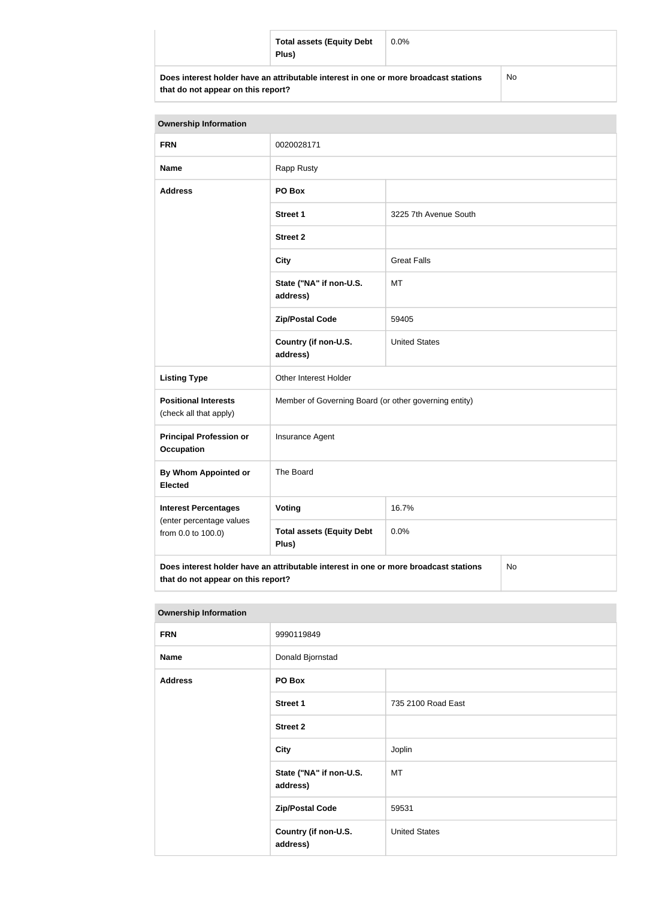| <b>Total assets (Equity Debt</b><br>Plus)                                            | $0.0\%$ |    |
|--------------------------------------------------------------------------------------|---------|----|
| Does interest holder have an attributable interest in one or more broadcast stations |         | No |

**that do not appear on this report?**

| <b>Ownership Information</b>                                                                                                     |                                                       |                       |  |
|----------------------------------------------------------------------------------------------------------------------------------|-------------------------------------------------------|-----------------------|--|
| <b>FRN</b>                                                                                                                       | 0020028171                                            |                       |  |
| <b>Name</b>                                                                                                                      | Rapp Rusty                                            |                       |  |
| <b>Address</b>                                                                                                                   | PO Box                                                |                       |  |
|                                                                                                                                  | <b>Street 1</b>                                       | 3225 7th Avenue South |  |
|                                                                                                                                  | <b>Street 2</b>                                       |                       |  |
|                                                                                                                                  | <b>City</b>                                           | <b>Great Falls</b>    |  |
|                                                                                                                                  | State ("NA" if non-U.S.<br>address)                   | MT                    |  |
|                                                                                                                                  | <b>Zip/Postal Code</b>                                | 59405                 |  |
|                                                                                                                                  | Country (if non-U.S.<br>address)                      | <b>United States</b>  |  |
| <b>Listing Type</b>                                                                                                              | Other Interest Holder                                 |                       |  |
| <b>Positional Interests</b><br>(check all that apply)                                                                            | Member of Governing Board (or other governing entity) |                       |  |
| <b>Principal Profession or</b><br><b>Occupation</b>                                                                              | Insurance Agent                                       |                       |  |
| By Whom Appointed or<br><b>Elected</b>                                                                                           | The Board                                             |                       |  |
| <b>Interest Percentages</b><br>(enter percentage values<br>from 0.0 to 100.0)                                                    | Voting                                                | 16.7%                 |  |
|                                                                                                                                  | <b>Total assets (Equity Debt</b><br>Plus)             | 0.0%                  |  |
| Does interest holder have an attributable interest in one or more broadcast stations<br>No<br>that do not appear on this report? |                                                       |                       |  |

| <b>Ownership Information</b> |                                     |                      |
|------------------------------|-------------------------------------|----------------------|
| <b>FRN</b>                   | 9990119849                          |                      |
| <b>Name</b>                  | Donald Bjornstad                    |                      |
| <b>Address</b>               | PO Box                              |                      |
|                              | <b>Street 1</b>                     | 735 2100 Road East   |
|                              | <b>Street 2</b>                     |                      |
|                              | <b>City</b>                         | Joplin               |
|                              | State ("NA" if non-U.S.<br>address) | MT                   |
|                              | <b>Zip/Postal Code</b>              | 59531                |
|                              | Country (if non-U.S.<br>address)    | <b>United States</b> |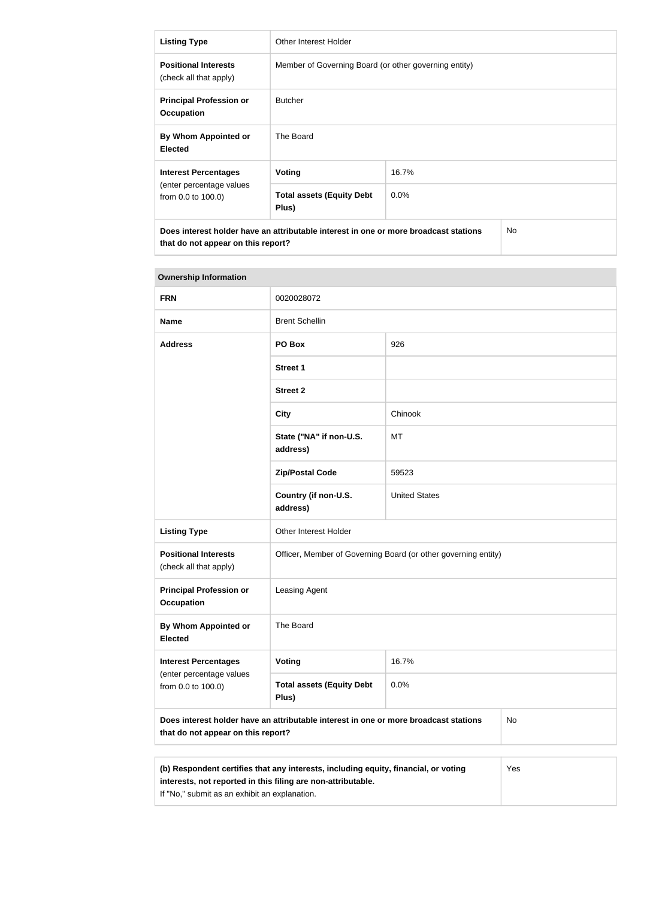| <b>Listing Type</b>                                                                                                              | Other Interest Holder                                 |  |  |
|----------------------------------------------------------------------------------------------------------------------------------|-------------------------------------------------------|--|--|
| <b>Positional Interests</b><br>(check all that apply)                                                                            | Member of Governing Board (or other governing entity) |  |  |
| <b>Principal Profession or</b><br><b>Occupation</b>                                                                              | <b>Butcher</b>                                        |  |  |
| By Whom Appointed or<br><b>Elected</b>                                                                                           | The Board                                             |  |  |
| <b>Interest Percentages</b>                                                                                                      | 16.7%<br>Voting                                       |  |  |
| (enter percentage values<br><b>Total assets (Equity Debt</b><br>$0.0\%$<br>from 0.0 to 100.0)<br>Plus)                           |                                                       |  |  |
| Does interest holder have an attributable interest in one or more broadcast stations<br>No<br>that do not appear on this report? |                                                       |  |  |

| <b>Ownership Information</b>                                                                                                            |                                                                |                      |  |
|-----------------------------------------------------------------------------------------------------------------------------------------|----------------------------------------------------------------|----------------------|--|
| <b>FRN</b>                                                                                                                              | 0020028072                                                     |                      |  |
| <b>Name</b>                                                                                                                             | <b>Brent Schellin</b>                                          |                      |  |
| <b>Address</b>                                                                                                                          | PO Box                                                         | 926                  |  |
|                                                                                                                                         | <b>Street 1</b>                                                |                      |  |
|                                                                                                                                         | <b>Street 2</b>                                                |                      |  |
|                                                                                                                                         | <b>City</b>                                                    | Chinook              |  |
|                                                                                                                                         | State ("NA" if non-U.S.<br>address)                            | МT                   |  |
|                                                                                                                                         | <b>Zip/Postal Code</b>                                         | 59523                |  |
|                                                                                                                                         | Country (if non-U.S.<br>address)                               | <b>United States</b> |  |
| <b>Listing Type</b>                                                                                                                     | <b>Other Interest Holder</b>                                   |                      |  |
| <b>Positional Interests</b><br>(check all that apply)                                                                                   | Officer, Member of Governing Board (or other governing entity) |                      |  |
| <b>Principal Profession or</b><br><b>Occupation</b>                                                                                     | Leasing Agent                                                  |                      |  |
| By Whom Appointed or<br><b>Elected</b>                                                                                                  | The Board                                                      |                      |  |
| <b>Interest Percentages</b>                                                                                                             | <b>Voting</b>                                                  | 16.7%                |  |
| (enter percentage values<br>from 0.0 to 100.0)                                                                                          | <b>Total assets (Equity Debt</b><br>Plus)                      | 0.0%                 |  |
| Does interest holder have an attributable interest in one or more broadcast stations<br><b>No</b><br>that do not appear on this report? |                                                                |                      |  |
|                                                                                                                                         |                                                                |                      |  |
| (b) Respondent certifies that any interests, including equity, financial, or voting<br>Yes                                              |                                                                |                      |  |

# **interests, not reported in this filing are non-attributable.** If "No," submit as an exhibit an explanation.